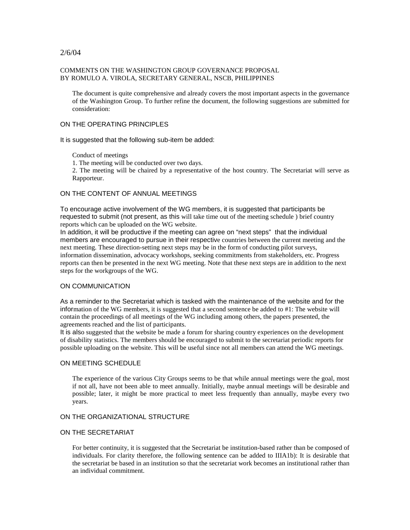## 2/6/04

#### COMMENTS ON THE WASHINGTON GROUP GOVERNANCE PROPOSAL BY ROMULO A. VIROLA, SECRETARY GENERAL, NSCB, PHILIPPINES

The document is quite comprehensive and already covers the most important aspects in the governance of the Washington Group. To further refine the document, the following suggestions are submitted for consideration:

#### ON THE OPERATING PRINCIPLES

It is suggested that the following sub-item be added:

Conduct of meetings

1. The meeting will be conducted over two days.

2. The meeting will be chaired by a representative of the host country. The Secretariat will serve as Rapporteur.

# ON THE CONTENT OF ANNUAL MEETINGS

To encourage active involvement of the WG members, it is suggested that participants be requested to submit (not present, as this will take time out of the meeting schedule ) brief country reports which can be uploaded on the WG website.

In addition, it will be productive if the meeting can agree on "next steps" that the individual members are encouraged to pursue in their respective countries between the current meeting and the next meeting. These direction-setting next steps may be in the form of conducting pilot surveys, information dissemination, advocacy workshops, seeking commitments from stakeholders, etc. Progress reports can then be presented in the next WG meeting. Note that these next steps are in addition to the next steps for the workgroups of the WG.

## ON COMMUNICATION

As a reminder to the Secretariat which is tasked with the maintenance of the website and for the information of the WG members, it is suggested that a second sentence be added to #1: The website will contain the proceedings of all meetings of the WG including among others, the papers presented, the agreements reached and the list of participants.

It is also suggested that the website be made a forum for sharing country experiences on the development of disability statistics. The members should be encouraged to submit to the secretariat periodic reports for possible uploading on the website. This will be useful since not all members can attend the WG meetings.

## ON MEETING SCHEDULE

The experience of the various City Groups seems to be that while annual meetings were the goal, most if not all, have not been able to meet annually. Initially, maybe annual meetings will be desirable and possible; later, it might be more practical to meet less frequently than annually, maybe every two years.

## ON THE ORGANIZATIONAL STRUCTURE

## ON THE SECRETARIAT

For better continuity, it is suggested that the Secretariat be institution-based rather than be composed of individuals. For clarity therefore, the following sentence can be added to IIIA1b): It is desirable that the secretariat be based in an institution so that the secretariat work becomes an institutional rather than an individual commitment.